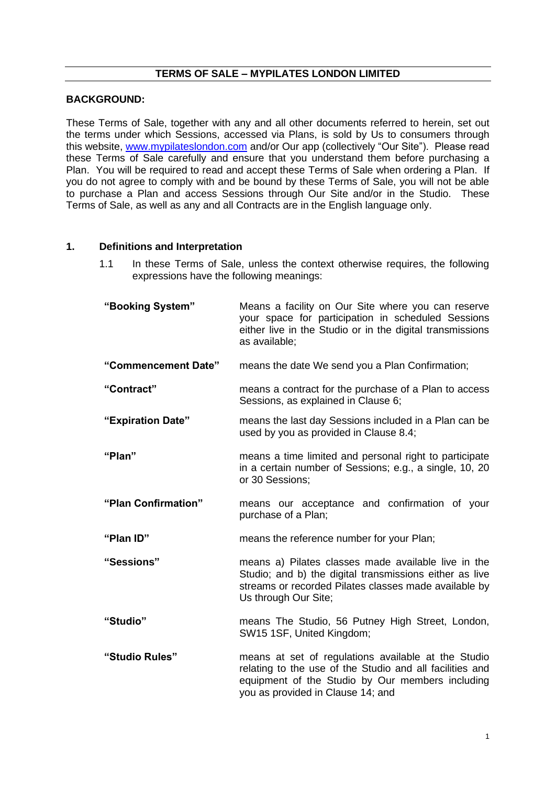# **TERMS OF SALE – MYPILATES LONDON LIMITED**

### **BACKGROUND:**

These Terms of Sale, together with any and all other documents referred to herein, set out the terms under which Sessions, accessed via Plans, is sold by Us to consumers through this website, [www.mypilateslondon.com](http://www.mypilateslondon.com/) and/or Our app (collectively "Our Site"). Please read these Terms of Sale carefully and ensure that you understand them before purchasing a Plan. You will be required to read and accept these Terms of Sale when ordering a Plan. If you do not agree to comply with and be bound by these Terms of Sale, you will not be able to purchase a Plan and access Sessions through Our Site and/or in the Studio. These Terms of Sale, as well as any and all Contracts are in the English language only.

#### **1. Definitions and Interpretation**

1.1 In these Terms of Sale, unless the context otherwise requires, the following expressions have the following meanings:

| "Booking System"    | Means a facility on Our Site where you can reserve<br>your space for participation in scheduled Sessions<br>either live in the Studio or in the digital transmissions<br>as available;                   |
|---------------------|----------------------------------------------------------------------------------------------------------------------------------------------------------------------------------------------------------|
| "Commencement Date" | means the date We send you a Plan Confirmation;                                                                                                                                                          |
| "Contract"          | means a contract for the purchase of a Plan to access<br>Sessions, as explained in Clause 6;                                                                                                             |
| "Expiration Date"   | means the last day Sessions included in a Plan can be<br>used by you as provided in Clause 8.4;                                                                                                          |
| "Plan"              | means a time limited and personal right to participate<br>in a certain number of Sessions; e.g., a single, 10, 20<br>or 30 Sessions;                                                                     |
| "Plan Confirmation" | means our acceptance and confirmation of your<br>purchase of a Plan;                                                                                                                                     |
| "Plan ID"           | means the reference number for your Plan;                                                                                                                                                                |
| "Sessions"          | means a) Pilates classes made available live in the<br>Studio; and b) the digital transmissions either as live<br>streams or recorded Pilates classes made available by<br>Us through Our Site;          |
| "Studio"            | means The Studio, 56 Putney High Street, London,<br>SW15 1SF, United Kingdom;                                                                                                                            |
| "Studio Rules"      | means at set of regulations available at the Studio<br>relating to the use of the Studio and all facilities and<br>equipment of the Studio by Our members including<br>you as provided in Clause 14; and |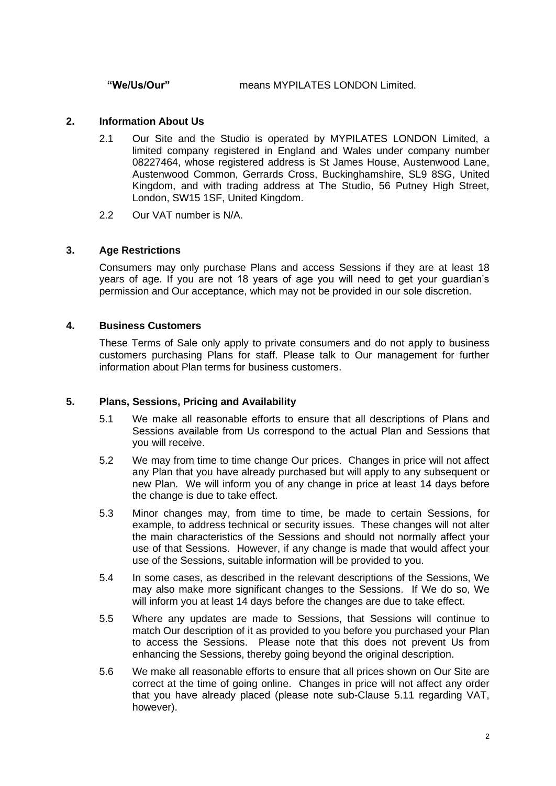**"We/Us/Our"** means MYPILATES LONDON Limited.

### **2. Information About Us**

- 2.1 Our Site and the Studio is operated by MYPILATES LONDON Limited, a limited company registered in England and Wales under company number 08227464, whose registered address is St James House, Austenwood Lane, Austenwood Common, Gerrards Cross, Buckinghamshire, SL9 8SG, United Kingdom, and with trading address at The Studio, 56 Putney High Street, London, SW15 1SF, United Kingdom.
- 2.2 Our VAT number is N/A.

# **3. Age Restrictions**

Consumers may only purchase Plans and access Sessions if they are at least 18 years of age. If you are not 18 years of age you will need to get your guardian's permission and Our acceptance, which may not be provided in our sole discretion.

### **4. Business Customers**

These Terms of Sale only apply to private consumers and do not apply to business customers purchasing Plans for staff. Please talk to Our management for further information about Plan terms for business customers.

### **5. Plans, Sessions, Pricing and Availability**

- 5.1 We make all reasonable efforts to ensure that all descriptions of Plans and Sessions available from Us correspond to the actual Plan and Sessions that you will receive.
- 5.2 We may from time to time change Our prices. Changes in price will not affect any Plan that you have already purchased but will apply to any subsequent or new Plan. We will inform you of any change in price at least 14 days before the change is due to take effect.
- 5.3 Minor changes may, from time to time, be made to certain Sessions, for example, to address technical or security issues. These changes will not alter the main characteristics of the Sessions and should not normally affect your use of that Sessions. However, if any change is made that would affect your use of the Sessions, suitable information will be provided to you.
- 5.4 In some cases, as described in the relevant descriptions of the Sessions, We may also make more significant changes to the Sessions. If We do so, We will inform you at least 14 days before the changes are due to take effect.
- 5.5 Where any updates are made to Sessions, that Sessions will continue to match Our description of it as provided to you before you purchased your Plan to access the Sessions. Please note that this does not prevent Us from enhancing the Sessions, thereby going beyond the original description.
- 5.6 We make all reasonable efforts to ensure that all prices shown on Our Site are correct at the time of going online. Changes in price will not affect any order that you have already placed (please note sub-Clause 5.11 regarding VAT, however).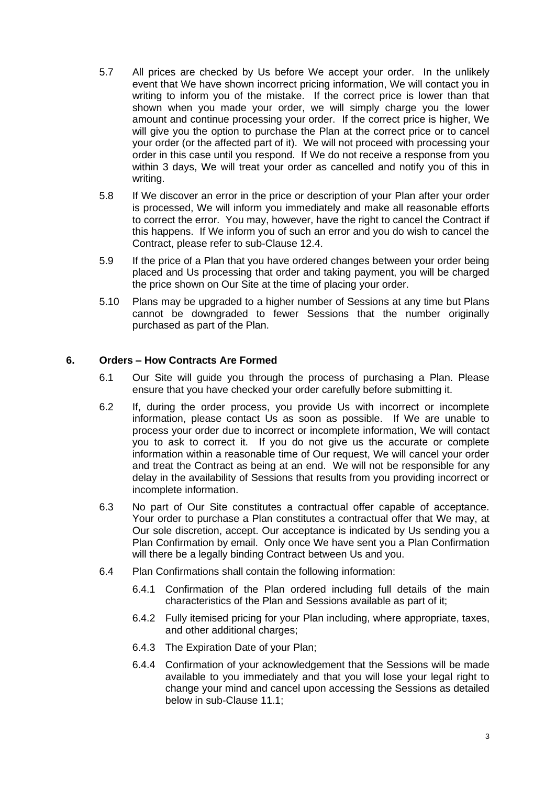- 5.7 All prices are checked by Us before We accept your order. In the unlikely event that We have shown incorrect pricing information, We will contact you in writing to inform you of the mistake. If the correct price is lower than that shown when you made your order, we will simply charge you the lower amount and continue processing your order. If the correct price is higher, We will give you the option to purchase the Plan at the correct price or to cancel your order (or the affected part of it). We will not proceed with processing your order in this case until you respond. If We do not receive a response from you within 3 days, We will treat your order as cancelled and notify you of this in writing.
- 5.8 If We discover an error in the price or description of your Plan after your order is processed, We will inform you immediately and make all reasonable efforts to correct the error. You may, however, have the right to cancel the Contract if this happens. If We inform you of such an error and you do wish to cancel the Contract, please refer to sub-Clause 12.4.
- 5.9 If the price of a Plan that you have ordered changes between your order being placed and Us processing that order and taking payment, you will be charged the price shown on Our Site at the time of placing your order.
- 5.10 Plans may be upgraded to a higher number of Sessions at any time but Plans cannot be downgraded to fewer Sessions that the number originally purchased as part of the Plan.

### **6. Orders – How Contracts Are Formed**

- 6.1 Our Site will guide you through the process of purchasing a Plan. Please ensure that you have checked your order carefully before submitting it.
- 6.2 If, during the order process, you provide Us with incorrect or incomplete information, please contact Us as soon as possible. If We are unable to process your order due to incorrect or incomplete information, We will contact you to ask to correct it. If you do not give us the accurate or complete information within a reasonable time of Our request, We will cancel your order and treat the Contract as being at an end. We will not be responsible for any delay in the availability of Sessions that results from you providing incorrect or incomplete information.
- 6.3 No part of Our Site constitutes a contractual offer capable of acceptance. Your order to purchase a Plan constitutes a contractual offer that We may, at Our sole discretion, accept. Our acceptance is indicated by Us sending you a Plan Confirmation by email. Only once We have sent you a Plan Confirmation will there be a legally binding Contract between Us and you.
- 6.4 Plan Confirmations shall contain the following information:
	- 6.4.1 Confirmation of the Plan ordered including full details of the main characteristics of the Plan and Sessions available as part of it;
	- 6.4.2 Fully itemised pricing for your Plan including, where appropriate, taxes, and other additional charges;
	- 6.4.3 The Expiration Date of your Plan;
	- 6.4.4 Confirmation of your acknowledgement that the Sessions will be made available to you immediately and that you will lose your legal right to change your mind and cancel upon accessing the Sessions as detailed below in sub-Clause 11.1;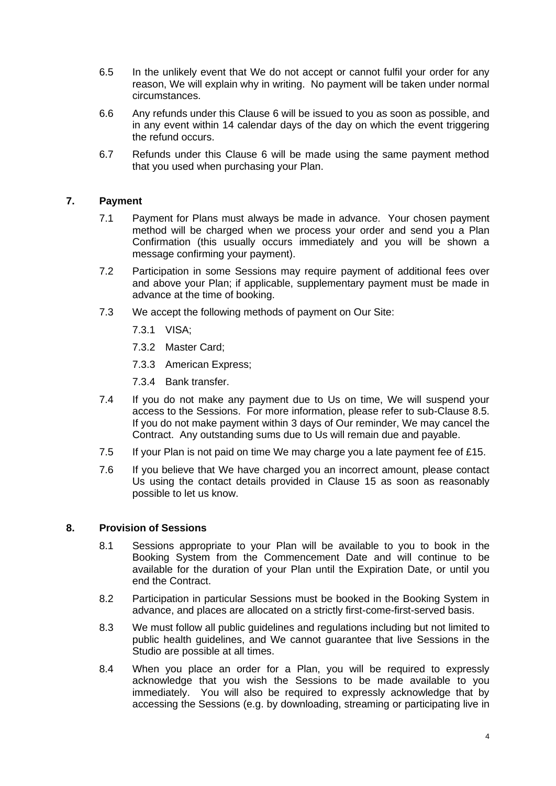- 6.5 In the unlikely event that We do not accept or cannot fulfil your order for any reason, We will explain why in writing. No payment will be taken under normal circumstances.
- 6.6 Any refunds under this Clause 6 will be issued to you as soon as possible, and in any event within 14 calendar days of the day on which the event triggering the refund occurs.
- 6.7 Refunds under this Clause 6 will be made using the same payment method that you used when purchasing your Plan.

# **7. Payment**

- 7.1 Payment for Plans must always be made in advance. Your chosen payment method will be charged when we process your order and send you a Plan Confirmation (this usually occurs immediately and you will be shown a message confirming your payment).
- 7.2 Participation in some Sessions may require payment of additional fees over and above your Plan; if applicable, supplementary payment must be made in advance at the time of booking.
- 7.3 We accept the following methods of payment on Our Site:
	- 7.3.1 VISA;
	- 7.3.2 Master Card;
	- 7.3.3 American Express;
	- 7.3.4 Bank transfer.
- 7.4 If you do not make any payment due to Us on time, We will suspend your access to the Sessions. For more information, please refer to sub-Clause 8.5. If you do not make payment within 3 days of Our reminder, We may cancel the Contract. Any outstanding sums due to Us will remain due and payable.
- 7.5 If your Plan is not paid on time We may charge you a late payment fee of £15.
- 7.6 If you believe that We have charged you an incorrect amount, please contact Us using the contact details provided in Clause 15 as soon as reasonably possible to let us know.

#### **8. Provision of Sessions**

- 8.1 Sessions appropriate to your Plan will be available to you to book in the Booking System from the Commencement Date and will continue to be available for the duration of your Plan until the Expiration Date, or until you end the Contract.
- 8.2 Participation in particular Sessions must be booked in the Booking System in advance, and places are allocated on a strictly first-come-first-served basis.
- 8.3 We must follow all public guidelines and regulations including but not limited to public health guidelines, and We cannot guarantee that live Sessions in the Studio are possible at all times.
- 8.4 When you place an order for a Plan, you will be required to expressly acknowledge that you wish the Sessions to be made available to you immediately. You will also be required to expressly acknowledge that by accessing the Sessions (e.g. by downloading, streaming or participating live in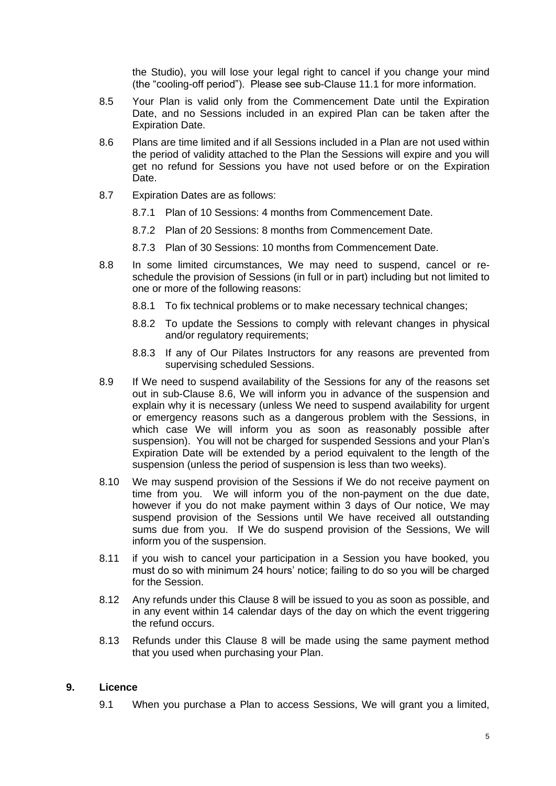the Studio), you will lose your legal right to cancel if you change your mind (the "cooling-off period"). Please see sub-Clause 11.1 for more information.

- 8.5 Your Plan is valid only from the Commencement Date until the Expiration Date, and no Sessions included in an expired Plan can be taken after the Expiration Date.
- 8.6 Plans are time limited and if all Sessions included in a Plan are not used within the period of validity attached to the Plan the Sessions will expire and you will get no refund for Sessions you have not used before or on the Expiration Date.
- 8.7 Expiration Dates are as follows:
	- 8.7.1 Plan of 10 Sessions: 4 months from Commencement Date.
	- 8.7.2 Plan of 20 Sessions: 8 months from Commencement Date.
	- 8.7.3 Plan of 30 Sessions: 10 months from Commencement Date.
- 8.8 In some limited circumstances, We may need to suspend, cancel or reschedule the provision of Sessions (in full or in part) including but not limited to one or more of the following reasons:
	- 8.8.1 To fix technical problems or to make necessary technical changes;
	- 8.8.2 To update the Sessions to comply with relevant changes in physical and/or regulatory requirements;
	- 8.8.3 If any of Our Pilates Instructors for any reasons are prevented from supervising scheduled Sessions.
- 8.9 If We need to suspend availability of the Sessions for any of the reasons set out in sub-Clause 8.6, We will inform you in advance of the suspension and explain why it is necessary (unless We need to suspend availability for urgent or emergency reasons such as a dangerous problem with the Sessions, in which case We will inform you as soon as reasonably possible after suspension). You will not be charged for suspended Sessions and your Plan's Expiration Date will be extended by a period equivalent to the length of the suspension (unless the period of suspension is less than two weeks).
- 8.10 We may suspend provision of the Sessions if We do not receive payment on time from you. We will inform you of the non-payment on the due date, however if you do not make payment within 3 days of Our notice, We may suspend provision of the Sessions until We have received all outstanding sums due from you. If We do suspend provision of the Sessions, We will inform you of the suspension.
- 8.11 if you wish to cancel your participation in a Session you have booked, you must do so with minimum 24 hours' notice; failing to do so you will be charged for the Session.
- 8.12 Any refunds under this Clause 8 will be issued to you as soon as possible, and in any event within 14 calendar days of the day on which the event triggering the refund occurs.
- 8.13 Refunds under this Clause 8 will be made using the same payment method that you used when purchasing your Plan.

### **9. Licence**

9.1 When you purchase a Plan to access Sessions, We will grant you a limited,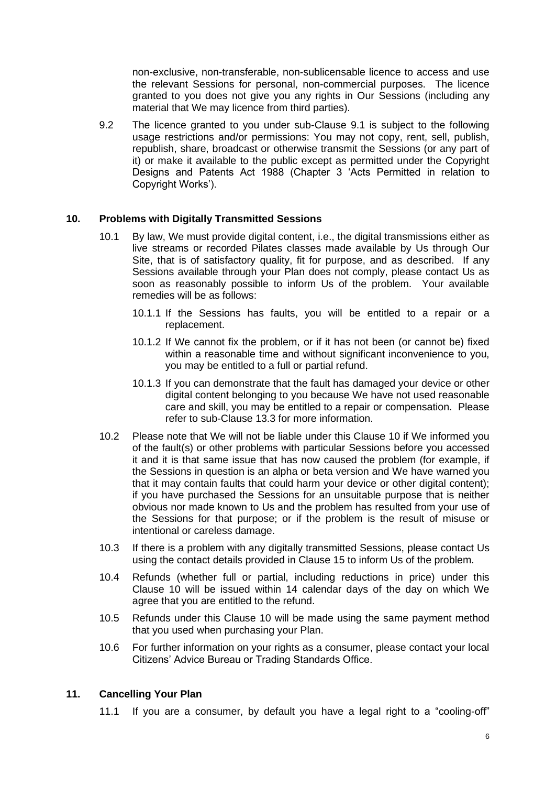non-exclusive, non-transferable, non-sublicensable licence to access and use the relevant Sessions for personal, non-commercial purposes. The licence granted to you does not give you any rights in Our Sessions (including any material that We may licence from third parties).

9.2 The licence granted to you under sub-Clause 9.1 is subject to the following usage restrictions and/or permissions: You may not copy, rent, sell, publish, republish, share, broadcast or otherwise transmit the Sessions (or any part of it) or make it available to the public except as permitted under the Copyright Designs and Patents Act 1988 (Chapter 3 'Acts Permitted in relation to Copyright Works').

# **10. Problems with Digitally Transmitted Sessions**

- 10.1 By law, We must provide digital content, i.e., the digital transmissions either as live streams or recorded Pilates classes made available by Us through Our Site, that is of satisfactory quality, fit for purpose, and as described. If any Sessions available through your Plan does not comply, please contact Us as soon as reasonably possible to inform Us of the problem. Your available remedies will be as follows:
	- 10.1.1 If the Sessions has faults, you will be entitled to a repair or a replacement.
	- 10.1.2 If We cannot fix the problem, or if it has not been (or cannot be) fixed within a reasonable time and without significant inconvenience to you, you may be entitled to a full or partial refund.
	- 10.1.3 If you can demonstrate that the fault has damaged your device or other digital content belonging to you because We have not used reasonable care and skill, you may be entitled to a repair or compensation. Please refer to sub-Clause 13.3 for more information.
- 10.2 Please note that We will not be liable under this Clause 10 if We informed you of the fault(s) or other problems with particular Sessions before you accessed it and it is that same issue that has now caused the problem (for example, if the Sessions in question is an alpha or beta version and We have warned you that it may contain faults that could harm your device or other digital content); if you have purchased the Sessions for an unsuitable purpose that is neither obvious nor made known to Us and the problem has resulted from your use of the Sessions for that purpose; or if the problem is the result of misuse or intentional or careless damage.
- 10.3 If there is a problem with any digitally transmitted Sessions, please contact Us using the contact details provided in Clause 15 to inform Us of the problem.
- 10.4 Refunds (whether full or partial, including reductions in price) under this Clause 10 will be issued within 14 calendar days of the day on which We agree that you are entitled to the refund.
- 10.5 Refunds under this Clause 10 will be made using the same payment method that you used when purchasing your Plan.
- 10.6 For further information on your rights as a consumer, please contact your local Citizens' Advice Bureau or Trading Standards Office.

### **11. Cancelling Your Plan**

11.1 If you are a consumer, by default you have a legal right to a "cooling-off"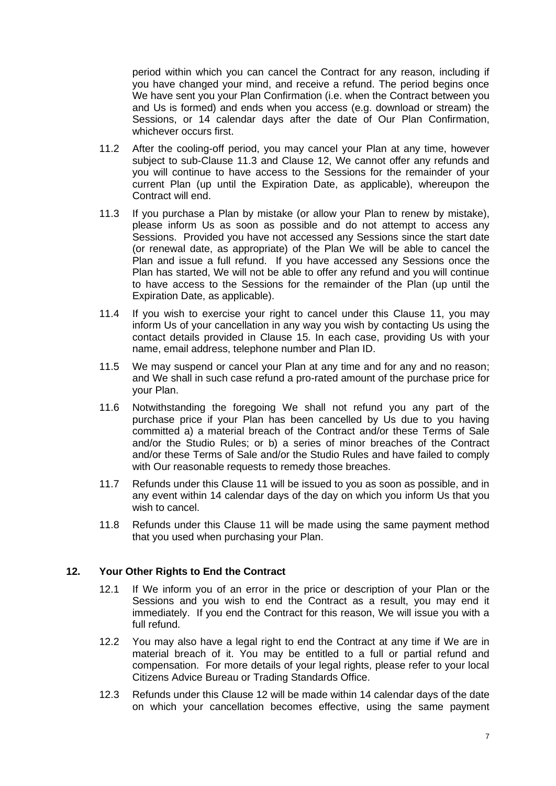period within which you can cancel the Contract for any reason, including if you have changed your mind, and receive a refund. The period begins once We have sent you your Plan Confirmation (i.e. when the Contract between you and Us is formed) and ends when you access (e.g. download or stream) the Sessions, or 14 calendar days after the date of Our Plan Confirmation, whichever occurs first.

- 11.2 After the cooling-off period, you may cancel your Plan at any time, however subject to sub-Clause 11.3 and Clause 12, We cannot offer any refunds and you will continue to have access to the Sessions for the remainder of your current Plan (up until the Expiration Date, as applicable), whereupon the Contract will end.
- 11.3 If you purchase a Plan by mistake (or allow your Plan to renew by mistake), please inform Us as soon as possible and do not attempt to access any Sessions. Provided you have not accessed any Sessions since the start date (or renewal date, as appropriate) of the Plan We will be able to cancel the Plan and issue a full refund. If you have accessed any Sessions once the Plan has started, We will not be able to offer any refund and you will continue to have access to the Sessions for the remainder of the Plan (up until the Expiration Date, as applicable).
- 11.4 If you wish to exercise your right to cancel under this Clause 11, you may inform Us of your cancellation in any way you wish by contacting Us using the contact details provided in Clause 15. In each case, providing Us with your name, email address, telephone number and Plan ID.
- 11.5 We may suspend or cancel your Plan at any time and for any and no reason; and We shall in such case refund a pro-rated amount of the purchase price for your Plan.
- 11.6 Notwithstanding the foregoing We shall not refund you any part of the purchase price if your Plan has been cancelled by Us due to you having committed a) a material breach of the Contract and/or these Terms of Sale and/or the Studio Rules; or b) a series of minor breaches of the Contract and/or these Terms of Sale and/or the Studio Rules and have failed to comply with Our reasonable requests to remedy those breaches.
- 11.7 Refunds under this Clause 11 will be issued to you as soon as possible, and in any event within 14 calendar days of the day on which you inform Us that you wish to cancel.
- 11.8 Refunds under this Clause 11 will be made using the same payment method that you used when purchasing your Plan.

### **12. Your Other Rights to End the Contract**

- 12.1 If We inform you of an error in the price or description of your Plan or the Sessions and you wish to end the Contract as a result, you may end it immediately. If you end the Contract for this reason, We will issue you with a full refund.
- 12.2 You may also have a legal right to end the Contract at any time if We are in material breach of it. You may be entitled to a full or partial refund and compensation. For more details of your legal rights, please refer to your local Citizens Advice Bureau or Trading Standards Office.
- 12.3 Refunds under this Clause 12 will be made within 14 calendar days of the date on which your cancellation becomes effective, using the same payment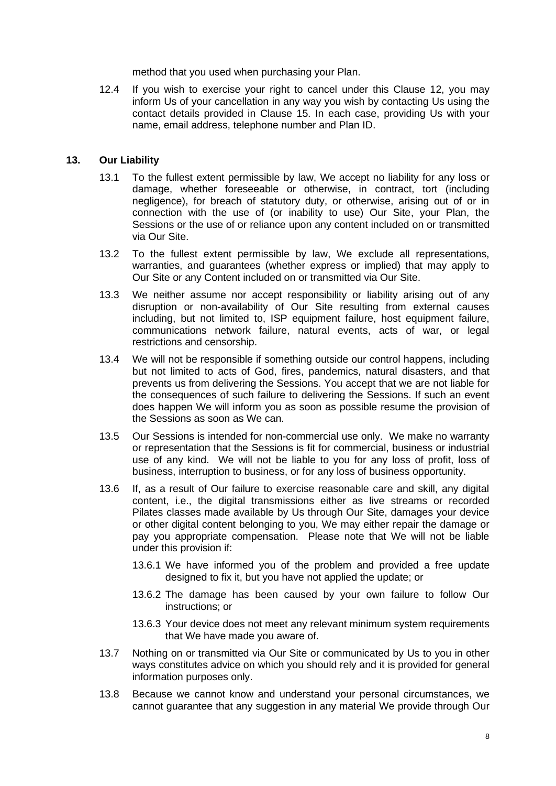method that you used when purchasing your Plan.

12.4 If you wish to exercise your right to cancel under this Clause 12, you may inform Us of your cancellation in any way you wish by contacting Us using the contact details provided in Clause 15. In each case, providing Us with your name, email address, telephone number and Plan ID.

#### **13. Our Liability**

- 13.1 To the fullest extent permissible by law, We accept no liability for any loss or damage, whether foreseeable or otherwise, in contract, tort (including negligence), for breach of statutory duty, or otherwise, arising out of or in connection with the use of (or inability to use) Our Site, your Plan, the Sessions or the use of or reliance upon any content included on or transmitted via Our Site.
- 13.2 To the fullest extent permissible by law, We exclude all representations, warranties, and guarantees (whether express or implied) that may apply to Our Site or any Content included on or transmitted via Our Site.
- 13.3 We neither assume nor accept responsibility or liability arising out of any disruption or non-availability of Our Site resulting from external causes including, but not limited to, ISP equipment failure, host equipment failure, communications network failure, natural events, acts of war, or legal restrictions and censorship.
- 13.4 We will not be responsible if something outside our control happens, including but not limited to acts of God, fires, pandemics, natural disasters, and that prevents us from delivering the Sessions. You accept that we are not liable for the consequences of such failure to delivering the Sessions. If such an event does happen We will inform you as soon as possible resume the provision of the Sessions as soon as We can.
- 13.5 Our Sessions is intended for non-commercial use only. We make no warranty or representation that the Sessions is fit for commercial, business or industrial use of any kind. We will not be liable to you for any loss of profit, loss of business, interruption to business, or for any loss of business opportunity.
- 13.6 If, as a result of Our failure to exercise reasonable care and skill, any digital content, i.e., the digital transmissions either as live streams or recorded Pilates classes made available by Us through Our Site, damages your device or other digital content belonging to you, We may either repair the damage or pay you appropriate compensation. Please note that We will not be liable under this provision if:
	- 13.6.1 We have informed you of the problem and provided a free update designed to fix it, but you have not applied the update; or
	- 13.6.2 The damage has been caused by your own failure to follow Our instructions; or
	- 13.6.3 Your device does not meet any relevant minimum system requirements that We have made you aware of.
- 13.7 Nothing on or transmitted via Our Site or communicated by Us to you in other ways constitutes advice on which you should rely and it is provided for general information purposes only.
- 13.8 Because we cannot know and understand your personal circumstances, we cannot guarantee that any suggestion in any material We provide through Our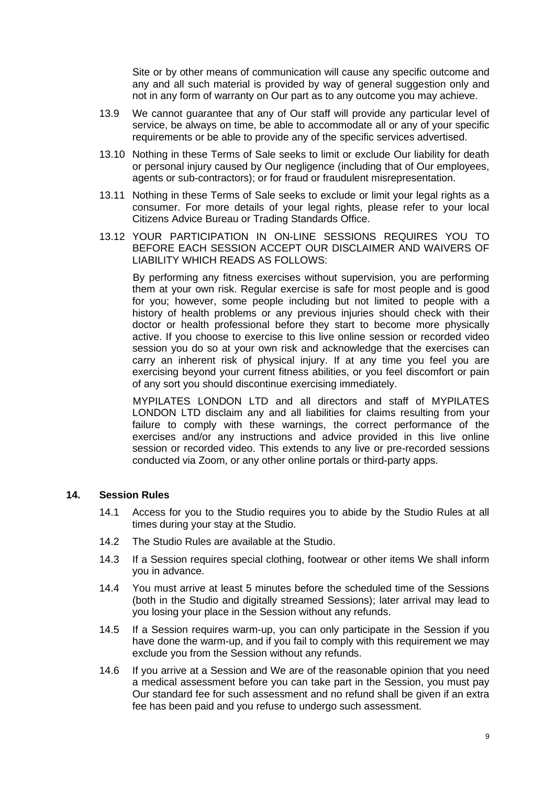Site or by other means of communication will cause any specific outcome and any and all such material is provided by way of general suggestion only and not in any form of warranty on Our part as to any outcome you may achieve.

- 13.9 We cannot guarantee that any of Our staff will provide any particular level of service, be always on time, be able to accommodate all or any of your specific requirements or be able to provide any of the specific services advertised.
- 13.10 Nothing in these Terms of Sale seeks to limit or exclude Our liability for death or personal injury caused by Our negligence (including that of Our employees, agents or sub-contractors); or for fraud or fraudulent misrepresentation.
- 13.11 Nothing in these Terms of Sale seeks to exclude or limit your legal rights as a consumer. For more details of your legal rights, please refer to your local Citizens Advice Bureau or Trading Standards Office.
- 13.12 YOUR PARTICIPATION IN ON-LINE SESSIONS REQUIRES YOU TO BEFORE EACH SESSION ACCEPT OUR DISCLAIMER AND WAIVERS OF LIABILITY WHICH READS AS FOLLOWS:

By performing any fitness exercises without supervision, you are performing them at your own risk. Regular exercise is safe for most people and is good for you; however, some people including but not limited to people with a history of health problems or any previous injuries should check with their doctor or health professional before they start to become more physically active. If you choose to exercise to this live online session or recorded video session you do so at your own risk and acknowledge that the exercises can carry an inherent risk of physical injury. If at any time you feel you are exercising beyond your current fitness abilities, or you feel discomfort or pain of any sort you should discontinue exercising immediately.

MYPILATES LONDON LTD and all directors and staff of MYPILATES LONDON LTD disclaim any and all liabilities for claims resulting from your failure to comply with these warnings, the correct performance of the exercises and/or any instructions and advice provided in this live online session or recorded video. This extends to any live or pre-recorded sessions conducted via Zoom, or any other online portals or third-party apps.

### **14. Session Rules**

- 14.1 Access for you to the Studio requires you to abide by the Studio Rules at all times during your stay at the Studio.
- 14.2 The Studio Rules are available at the Studio.
- 14.3 If a Session requires special clothing, footwear or other items We shall inform you in advance.
- 14.4 You must arrive at least 5 minutes before the scheduled time of the Sessions (both in the Studio and digitally streamed Sessions); later arrival may lead to you losing your place in the Session without any refunds.
- 14.5 If a Session requires warm-up, you can only participate in the Session if you have done the warm-up, and if you fail to comply with this requirement we may exclude you from the Session without any refunds.
- 14.6 If you arrive at a Session and We are of the reasonable opinion that you need a medical assessment before you can take part in the Session, you must pay Our standard fee for such assessment and no refund shall be given if an extra fee has been paid and you refuse to undergo such assessment.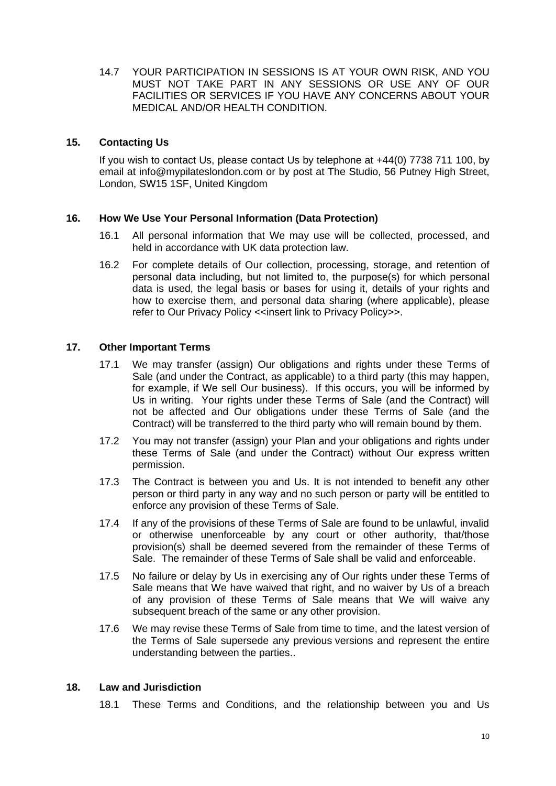14.7 YOUR PARTICIPATION IN SESSIONS IS AT YOUR OWN RISK, AND YOU MUST NOT TAKE PART IN ANY SESSIONS OR USE ANY OF OUR FACILITIES OR SERVICES IF YOU HAVE ANY CONCERNS ABOUT YOUR MEDICAL AND/OR HEALTH CONDITION.

### **15. Contacting Us**

If you wish to contact Us, please contact Us by telephone at +44(0) 7738 711 100, by email at info@mypilateslondon.com or by post at The Studio, 56 Putney High Street, London, SW15 1SF, United Kingdom

### **16. How We Use Your Personal Information (Data Protection)**

- 16.1 All personal information that We may use will be collected, processed, and held in accordance with UK data protection law.
- 16.2 For complete details of Our collection, processing, storage, and retention of personal data including, but not limited to, the purpose(s) for which personal data is used, the legal basis or bases for using it, details of your rights and how to exercise them, and personal data sharing (where applicable), please refer to Our Privacy Policy <<insert link to Privacy Policy>>.

# **17. Other Important Terms**

- 17.1 We may transfer (assign) Our obligations and rights under these Terms of Sale (and under the Contract, as applicable) to a third party (this may happen, for example, if We sell Our business). If this occurs, you will be informed by Us in writing. Your rights under these Terms of Sale (and the Contract) will not be affected and Our obligations under these Terms of Sale (and the Contract) will be transferred to the third party who will remain bound by them.
- 17.2 You may not transfer (assign) your Plan and your obligations and rights under these Terms of Sale (and under the Contract) without Our express written permission.
- 17.3 The Contract is between you and Us. It is not intended to benefit any other person or third party in any way and no such person or party will be entitled to enforce any provision of these Terms of Sale.
- 17.4 If any of the provisions of these Terms of Sale are found to be unlawful, invalid or otherwise unenforceable by any court or other authority, that/those provision(s) shall be deemed severed from the remainder of these Terms of Sale. The remainder of these Terms of Sale shall be valid and enforceable.
- 17.5 No failure or delay by Us in exercising any of Our rights under these Terms of Sale means that We have waived that right, and no waiver by Us of a breach of any provision of these Terms of Sale means that We will waive any subsequent breach of the same or any other provision.
- 17.6 We may revise these Terms of Sale from time to time, and the latest version of the Terms of Sale supersede any previous versions and represent the entire understanding between the parties..

### **18. Law and Jurisdiction**

18.1 These Terms and Conditions, and the relationship between you and Us